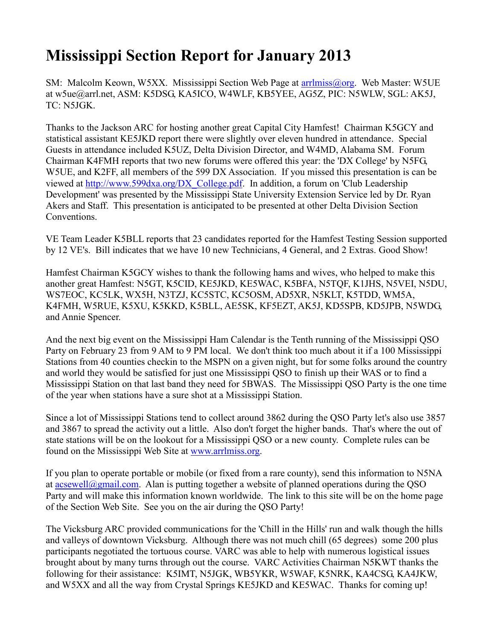## **Mississippi Section Report for January 2013**

SM: Malcolm Keown, W5XX. Mississippi Section Web Page at arrilmiss@org. Web Master: W5UE at w5ue@arrl.net, ASM: K5DSG, KA5ICO, W4WLF, KB5YEE, AG5Z, PIC: N5WLW, SGL: AK5J, TC: N5JGK.

Thanks to the Jackson ARC for hosting another great Capital City Hamfest! Chairman K5GCY and statistical assistant KE5JKD report there were slightly over eleven hundred in attendance. Special Guests in attendance included K5UZ, Delta Division Director, and W4MD, Alabama SM. Forum Chairman K4FMH reports that two new forums were offered this year: the 'DX College' by N5FG, W5UE, and K2FF, all members of the 599 DX Association. If you missed this presentation is can be viewed at [http://www.599dxa.org/DX\\_College.pdf.](http://www.599dxa.org/DX_College.pdf) In addition, a forum on 'Club Leadership Development' was presented by the Mississippi State University Extension Service led by Dr. Ryan Akers and Staff. This presentation is anticipated to be presented at other Delta Division Section Conventions.

VE Team Leader K5BLL reports that 23 candidates reported for the Hamfest Testing Session supported by 12 VE's. Bill indicates that we have 10 new Technicians, 4 General, and 2 Extras. Good Show!

Hamfest Chairman K5GCY wishes to thank the following hams and wives, who helped to make this another great Hamfest: N5GT, K5CID, KE5JKD, KE5WAC, K5BFA, N5TQF, K1JHS, N5VEI, N5DU, WS7EOC, KC5LK, WX5H, N3TZJ, KC5STC, KC5OSM, AD5XR, N5KLT, K5TDD, WM5A, K4FMH, W5RUE, K5XU, K5KKD, K5BLL, AE5SK, KF5EZT, AK5J, KD5SPB, KD5JPB, N5WDG, and Annie Spencer.

And the next big event on the Mississippi Ham Calendar is the Tenth running of the Mississippi QSO Party on February 23 from 9 AM to 9 PM local. We don't think too much about it if a 100 Mississippi Stations from 40 counties checkin to the MSPN on a given night, but for some folks around the country and world they would be satisfied for just one Mississippi QSO to finish up their WAS or to find a Mississippi Station on that last band they need for 5BWAS. The Mississippi QSO Party is the one time of the year when stations have a sure shot at a Mississippi Station.

Since a lot of Mississippi Stations tend to collect around 3862 during the QSO Party let's also use 3857 and 3867 to spread the activity out a little. Also don't forget the higher bands. That's where the out of state stations will be on the lookout for a Mississippi QSO or a new county. Complete rules can be found on the Mississippi Web Site at [www.arrlmiss.org.](http://www.arrlmiss.org/)

If you plan to operate portable or mobile (or fixed from a rare county), send this information to N5NA at [acsewell@gmail.com.](mailto:acsewell@gmail.com) Alan is putting together a website of planned operations during the QSO Party and will make this information known worldwide. The link to this site will be on the home page of the Section Web Site. See you on the air during the QSO Party!

The Vicksburg ARC provided communications for the 'Chill in the Hills' run and walk though the hills and valleys of downtown Vicksburg. Although there was not much chill (65 degrees) some 200 plus participants negotiated the tortuous course. VARC was able to help with numerous logistical issues brought about by many turns through out the course. VARC Activities Chairman N5KWT thanks the following for their assistance: K5IMT, N5JGK, WB5YKR, W5WAF, K5NRK, KA4CSG, KA4JKW, and W5XX and all the way from Crystal Springs KE5JKD and KE5WAC. Thanks for coming up!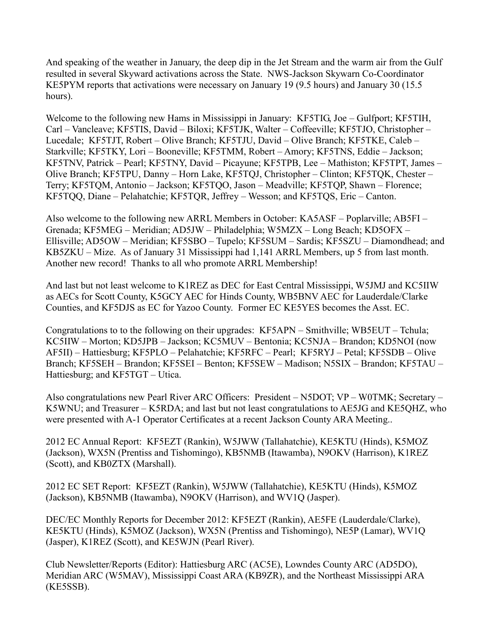And speaking of the weather in January, the deep dip in the Jet Stream and the warm air from the Gulf resulted in several Skyward activations across the State. NWS-Jackson Skywarn Co-Coordinator KE5PYM reports that activations were necessary on January 19 (9.5 hours) and January 30 (15.5 hours).

Welcome to the following new Hams in Mississippi in January: KF5TIG, Joe – Gulfport; KF5TIH, Carl – Vancleave; KF5TIS, David – Biloxi; KF5TJK, Walter – Coffeeville; KF5TJO, Christopher – Lucedale; KF5TJT, Robert – Olive Branch; KF5TJU, David – Olive Branch; KF5TKE, Caleb – Starkville; KF5TKY, Lori – Booneville; KF5TMM, Robert – Amory; KF5TNS, Eddie – Jackson; KF5TNV, Patrick – Pearl; KF5TNY, David – Picayune; KF5TPB, Lee – Mathiston; KF5TPT, James – Olive Branch; KF5TPU, Danny – Horn Lake, KF5TQJ, Christopher – Clinton; KF5TQK, Chester – Terry; KF5TQM, Antonio – Jackson; KF5TQO, Jason – Meadville; KF5TQP, Shawn – Florence; KF5TQQ, Diane – Pelahatchie; KF5TQR, Jeffrey – Wesson; and KF5TQS, Eric – Canton.

Also welcome to the following new ARRL Members in October: KA5ASF – Poplarville; AB5FI – Grenada; KF5MEG – Meridian; AD5JW – Philadelphia; W5MZX – Long Beach; KD5OFX – Ellisville; AD5OW – Meridian; KF5SBO – Tupelo; KF5SUM – Sardis; KF5SZU – Diamondhead; and KB5ZKU – Mize. As of January 31 Mississippi had 1,141 ARRL Members, up 5 from last month. Another new record! Thanks to all who promote ARRL Membership!

And last but not least welcome to K1REZ as DEC for East Central Mississippi, W5JMJ and KC5IIW as AECs for Scott County, K5GCY AEC for Hinds County, WB5BNV AEC for Lauderdale/Clarke Counties, and KF5DJS as EC for Yazoo County. Former EC KE5YES becomes the Asst. EC.

Congratulations to to the following on their upgrades: KF5APN – Smithville; WB5EUT – Tchula; KC5IIW – Morton; KD5JPB – Jackson; KC5MUV – Bentonia; KC5NJA – Brandon; KD5NOI (now AF5II) – Hattiesburg; KF5PLO – Pelahatchie; KF5RFC – Pearl; KF5RYJ – Petal; KF5SDB – Olive Branch; KF5SEH – Brandon; KF5SEI – Benton; KF5SEW – Madison; N5SIX – Brandon; KF5TAU – Hattiesburg; and KF5TGT – Utica.

Also congratulations new Pearl River ARC Officers: President – N5DOT; VP – W0TMK; Secretary – K5WNU; and Treasurer – K5RDA; and last but not least congratulations to AE5JG and KE5QHZ, who were presented with A-1 Operator Certificates at a recent Jackson County ARA Meeting..

2012 EC Annual Report: KF5EZT (Rankin), W5JWW (Tallahatchie), KE5KTU (Hinds), K5MOZ (Jackson), WX5N (Prentiss and Tishomingo), KB5NMB (Itawamba), N9OKV (Harrison), K1REZ (Scott), and KB0ZTX (Marshall).

2012 EC SET Report: KF5EZT (Rankin), W5JWW (Tallahatchie), KE5KTU (Hinds), K5MOZ (Jackson), KB5NMB (Itawamba), N9OKV (Harrison), and WV1Q (Jasper).

DEC/EC Monthly Reports for December 2012: KF5EZT (Rankin), AE5FE (Lauderdale/Clarke), KE5KTU (Hinds), K5MOZ (Jackson), WX5N (Prentiss and Tishomingo), NE5P (Lamar), WV1Q (Jasper), K1REZ (Scott), and KE5WJN (Pearl River).

Club Newsletter/Reports (Editor): Hattiesburg ARC (AC5E), Lowndes County ARC (AD5DO), Meridian ARC (W5MAV), Mississippi Coast ARA (KB9ZR), and the Northeast Mississippi ARA (KE5SSB).